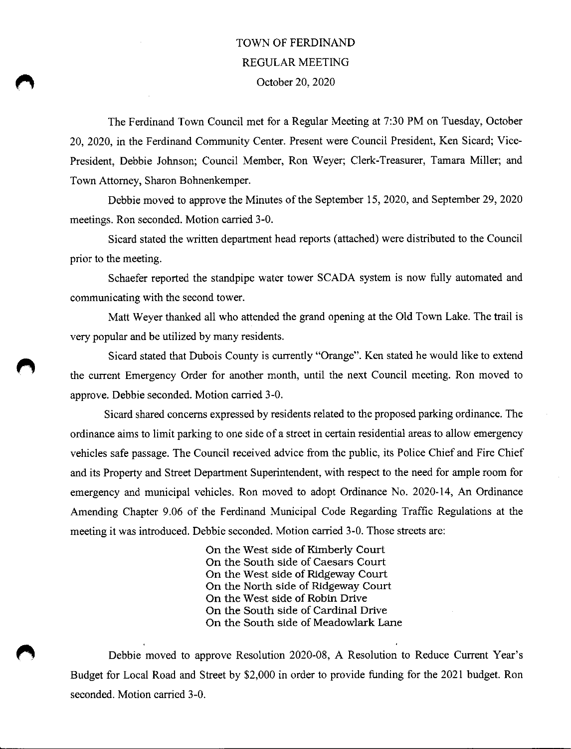## TOWN OF FERDINAND REGULAR MEETING October 20, 2020

The Ferdinand Town Council met for a Regular Meeting at 7:30 PM on Tuesday, October 20, 2020, in the Ferdinand Community Center. Present were Council President, Ken Sicard; Vice-President, Debbie Johnson; Council Member, Ron Weyer; Clerk-Treasurer, Tamara Miller; and Town Attorney, Sharon Bohnenkemper.

Debbie moved to approve the Minutes of the September 15, 2020, and September 29, 2020 meetings. Ron seconded. Motion carried 3-0.

Sicard stated the written department head reports (attached) were distributed to the Council prior to the meeting.

Schaefer reported the standpipe water tower SCADA system is now fully automated and communicating with the second tower.

Matt Weyer thanked all who attended the grand opening at the Old Town Lake. The trail is very popular and be utilized by many residents.

Sicard stated that Dubois County is currently "Orange". Ken stated he would like to extend the current Emergency Order for another month, until the next Council meeting. Ron moved to approve. Debbie seconded. Motion carried 3-0.

Sicazd shared concerns expressed by residents related to the proposed pazking ordinance. The ordinance aims to limit pazking to one side of a street in certain residential azeas to allow emergency vehicles safe passage. The Council received advice from the public, its Police Chief and Fire Chief and its Property and Street Department Superintendent, with respect to the need for ample room for emergency and municipal vehicles. Ron moved to adopt Ordinance No. 2020-14, An Ordinance Amending Chapter 9.06 of the Ferdinand Municipal Code Regarding Traffic Regulations at the meeting it was introduced. Debbie seconded. Motion carried 3-0. Those streets are:

> On the West side of Kimberly Court On the South side of Caesars Court On the West side of Ridgeway Court On the North side of Ridgeway Court On the West side of Robin Drive On the South side of Cardinal Drive On the South side of Meadowlark Lane

Debbie moved to approve Resolution 2020-08, A Resolution to Reduce Current Yeaz's Budget for Local Road and Street by \$2,000 in order to provide funding for the 2021 budget. Ron seconded. Motion carried 3-0.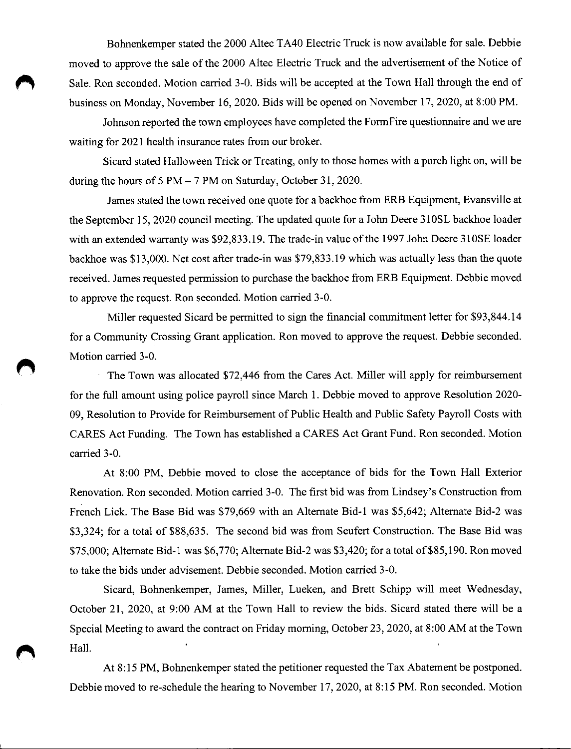Bohnenkemper stated the 2000 Altec TA40 Electric Truck is now available for sale. Debbie moved to approve the sale of the 2000 Altec Electric Truck and the advertisement of the Notice of Sale. Ron seconded. Motion carried 3-0. Bids will be accepted at the Town Hall through the end of business on Monday, November 16, 2020. Bids will be opened on November 17, 2020, at 8:00 PM.

Johnson reported the town employees have completed the FormFire questionnaire and we are waiting for 2021 health insurance rates from our broker.

Sicard stated Halloween Trick or Treating, only to those homes with a porch light on, will be during the hours of 5 PM — 7 PM on Saturday, October 31, 2020.

James stated the town received one quote for a backhoe from ERB Equipment, Evansville at the September 15, 2020 council meeting. The updated quote for a John Deere 310SL backhoe loader with an extended warranty was \$92,833.19. The trade-in value of the 1997 John Deere 310SE loader backhoe was \$13,000. Net cost after trade-in was \$79,833.19 which was actually less than the quote received. James requested permission to purchase the backhoe from ERB Equipment. Debbie moved to approve the request. Ron seconded. Motion carried 3-0.

Miller requested Sicard be permitted to sign the financial commitment letter for \$93,844.14 for a Community Crossing Grant application. Ron moved to approve the request. Debbie seconded. Motion carried 3-0.

The Town was allocated \$72,446 from the Cares Act. Miller will apply for reimbursement for the full amount using police payroll since March 1. Debbie moved to approve Resolution 2020- 09, Resolution to Provide for Reimbursement of Public Health and Public Safety Payroll Costs with CARES Act Funding. The Town has established a CARES Act Grant Fund. Ron seconded. Motion carried 3-0.

At 8:00 PM, Debbie moved to close the acceptance of bids for the Town Hall Exterior Renovation. Ron seconded. Motion carried 3-0. The first bid was from Lindsey's Construction from French Lick. The Base Bid was \$79,669 with an Alternate Bid-1 was \$5,642; Alternate Bid-2 was \$3,324; for a total of \$88,635. The second bid was from Seufert Construction. The Base Bid was \$75,000; Alternate Bid-1 was \$6,770; Alternate Bid-2 was \$3,420; for a total of \$85,190. Ron moved to take the bids under advisement. Debbie seconded. Motion carried 3-0.

Sicard, Bohnenkemper, James, Miller, Lueken, and Brett Schipp will meet Wednesday, October 21, 2020, at 9:00 AM at the Town Hall to review the bids. Sicard stated there will be a Special Meeting to award the contract on Friday morning, October 23, 2020, at 8:00 AM at the Town Hall.

At 8:15 PM, Bohnenkemper stated the petitioner requested the Tax Abatement be postponed. Debbie moved to re-schedule the hearing to November 17, 2020, at 8:15 PM. Ron seconded. Motion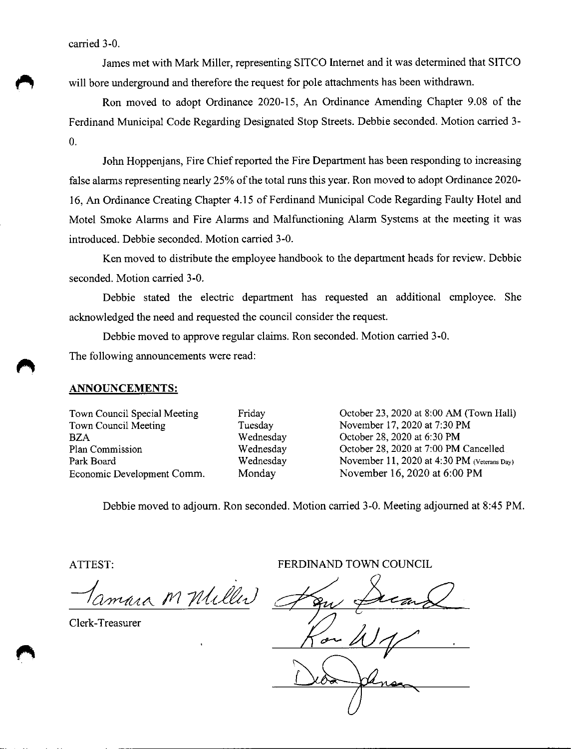carried 3-0.

James met with Mark Miller, representing SITCO Internet and it was determined that SITCO will bore underground and therefore the request for pole attachments has been withdrawn.

Ron moved to adopt Ordinance 2020-15, An Ordinance Amending Chapter 9.08 of the Ferdinand Municipal Code Regazding Designated Stop Streets. Debbie seconded. Motion carried 3- 0.

John Hoppenjans, Fire Chief reported the Fire Department has been responding to increasing false alarms representing nearly 25% of the total runs this yeaz. Ron moved to adopt Ordinance 2020- 16, An Ordinance Creating Chapter 4.15 of Ferdinand Municipal Code Regarding Faulty Hotel and Motel Smoke Alarms and Fire Alarms and Malfunctioning Alarm Systems at the meeting it was introduced. Debbie seconded. Motion carried 3-0.

Ken moved to distribute the employee handbook to the department heads for review. Debbie seconded. Motion carried 3-0.

Debbie stated the electric department has requested an additional employee. She acknowledged the need and requested the council consider the request.

Debbie moved to approve regular claims. Ron seconded. Motion carried 3-0.

The following announcements were read:

## ANNOUNCEMENTS:

Town Council Special Meeting Town Council Meeting BZA Plan Commission Park Boazd Economic Development Comm. Friday Tuesday Wednesday Wednesday Wednesday Monday

October 23, 2020 at 8:00 AM (Town Hall) November 17, 2020 at 7:30 PM October 28, 2020 at 6:30 PM October 28, 2020 at 7:00 PM Cancelled. November 11, 2020 at 4:30 PM (Veterans Day) November 16, 2020 at 6:00 PM

Debbie moved to adjourn. Ron seconded. Motion carried 3-0. Meeting adjourned at 8:45 PM.

ATTEST:

amara M Miller

Clerk-Treasurer

FERDINAND TOWN COUNCIL

.<br><u>.<br>.</u> سصَ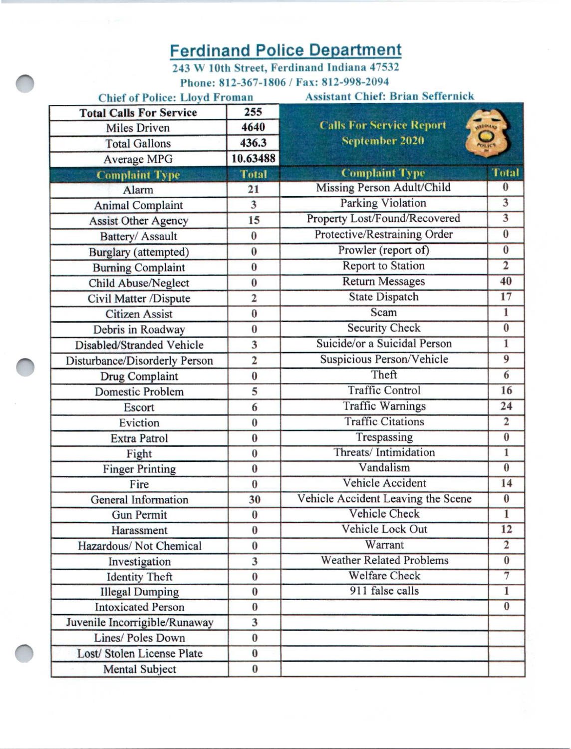## Ferdinand Police Department

243 W 10th Street, Ferdinand Indiana 47532 Phone: 812-367-1806 /Fax: 812-998-2094

| <b>Chief of Police: Lloyd Froman</b> |                | <b>Assistant Chief: Brian Seffernick</b>       |                         |
|--------------------------------------|----------------|------------------------------------------------|-------------------------|
| <b>Total Calls For Service</b>       | 255            |                                                |                         |
| <b>Miles Driven</b>                  | 4640           | <b>Calls For Service Report</b>                | <b>HEDINAKO</b>         |
| <b>Total Gallons</b>                 | 436.3          | $\sum_{\text{outer}}$<br><b>September 2020</b> |                         |
| <b>Average MPG</b>                   | 10.63488       |                                                |                         |
| <b>Complaint Type</b>                | <b>Total</b>   | <b>Complaint Type</b>                          | <b>Total</b>            |
| Alarm                                | 21             | Missing Person Adult/Child                     | $\bf{0}$                |
| <b>Animal Complaint</b>              | 3              | Parking Violation                              | $\overline{\mathbf{3}}$ |
| <b>Assist Other Agency</b>           | 15             | Property Lost/Found/Recovered                  | $\overline{\mathbf{3}}$ |
| Battery/ Assault                     | $\bf{0}$       | Protective/Restraining Order                   | $\overline{0}$          |
| Burglary (attempted)                 | $\bf{0}$       | Prowler (report of)                            | $\bf{0}$                |
| <b>Burning Complaint</b>             | $\bf{0}$       | <b>Report to Station</b>                       | $\overline{2}$          |
| <b>Child Abuse/Neglect</b>           | $\bf{0}$       | <b>Return Messages</b>                         | 40                      |
| Civil Matter /Dispute                | $\overline{2}$ | <b>State Dispatch</b>                          | 17                      |
| <b>Citizen Assist</b>                | $\bf{0}$       | Scam                                           | $\mathbf{1}$            |
| Debris in Roadway                    | $\bf{0}$       | <b>Security Check</b>                          | $\overline{0}$          |
| Disabled/Stranded Vehicle            | 3              | Suicide/or a Suicidal Person                   | $\overline{1}$          |
| Disturbance/Disorderly Person        | $\overline{2}$ | Suspicious Person/Vehicle                      | $\overline{9}$          |
| Drug Complaint                       | $\bf{0}$       | Theft                                          | 6                       |
| Domestic Problem                     | 5              | <b>Traffic Control</b>                         | 16                      |
| Escort                               | 6              | <b>Traffic Warnings</b>                        | 24                      |
| Eviction                             | $\bf{0}$       | <b>Traffic Citations</b>                       | $\overline{2}$          |
| <b>Extra Patrol</b>                  | $\bf{0}$       | Trespassing                                    | $\overline{\mathbf{0}}$ |
| Fight                                | $\bf{0}$       | Threats/Intimidation                           | 1                       |
| <b>Finger Printing</b>               | $\bf{0}$       | Vandalism                                      | $\bf{0}$                |
| Fire                                 | $\bf{0}$       | Vehicle Accident                               | 14                      |
| General Information                  | 30             | Vehicle Accident Leaving the Scene             | $\bf{0}$                |
| <b>Gun Permit</b>                    | $\bf{0}$       | Vehicle Check                                  | ī                       |
| Harassment                           | $\bf{0}$       | Vehicle Lock Out                               | 12                      |
| Hazardous/ Not Chemical              | $\bf{0}$       | Warrant                                        | $\overline{2}$          |
| Investigation                        | 3              | <b>Weather Related Problems</b>                | $\bf{0}$                |
| <b>Identity Theft</b>                | $\bf{0}$       | <b>Welfare Check</b>                           | $\overline{\tau}$       |
| <b>Illegal Dumping</b>               | $\bf{0}$       | 911 false calls                                | $\overline{1}$          |
| <b>Intoxicated Person</b>            | $\bf{0}$       |                                                | $\bf{0}$                |
| Juvenile Incorrigible/Runaway        | 3              |                                                |                         |
| Lines/ Poles Down                    | $\bf{0}$       |                                                |                         |
| Lost/ Stolen License Plate           | $\bf{0}$       |                                                |                         |
| <b>Mental Subject</b>                | $\bf{0}$       |                                                |                         |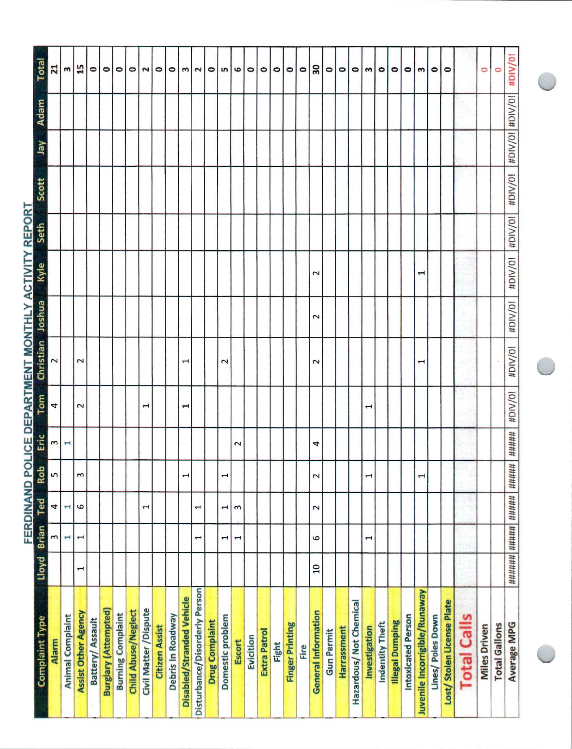| Total                                                       | $\overline{21}$ | 3                       | 15                         | 0                      | $\circ$                     | $\circ$                  | ۰                          | Ν                      | 0                     | $\circ$           | m                                | $\sim$                        | ۰                     | w                  | 6                        | 0         | ۰            | 0     | ۰                      | ۰    | 30                         | 0                 | $\circ$            | ۰                      | m              | ۰               | ۰                      | ۰                  | m                             | 0                 | $\circ$                   |                    | 0                   | 0                    | #DIV/0!              |
|-------------------------------------------------------------|-----------------|-------------------------|----------------------------|------------------------|-----------------------------|--------------------------|----------------------------|------------------------|-----------------------|-------------------|----------------------------------|-------------------------------|-----------------------|--------------------|--------------------------|-----------|--------------|-------|------------------------|------|----------------------------|-------------------|--------------------|------------------------|----------------|-----------------|------------------------|--------------------|-------------------------------|-------------------|---------------------------|--------------------|---------------------|----------------------|----------------------|
| Adam                                                        |                 |                         |                            |                        |                             |                          |                            |                        |                       |                   |                                  |                               |                       |                    |                          |           |              |       |                        |      |                            |                   |                    |                        |                |                 |                        |                    |                               |                   |                           |                    |                     |                      |                      |
| yet                                                         |                 |                         |                            |                        |                             |                          |                            |                        |                       |                   |                                  |                               |                       |                    |                          |           |              |       |                        |      |                            |                   |                    |                        |                |                 |                        |                    |                               |                   |                           |                    |                     |                      | #DIV/0! #DIV/0!      |
| Scott                                                       |                 |                         |                            |                        |                             |                          |                            |                        |                       |                   |                                  |                               |                       |                    |                          |           |              |       |                        |      |                            |                   |                    |                        |                |                 |                        |                    |                               |                   |                           |                    |                     |                      | #DIV/0!              |
| FERDINAND POLICE DEPARTMENT MONTHLY ACTIVITY REPORT<br>Seth |                 |                         |                            |                        |                             |                          |                            |                        |                       |                   |                                  |                               |                       |                    |                          |           |              |       |                        |      |                            |                   |                    |                        |                |                 |                        |                    |                               |                   |                           |                    |                     |                      | #DIV/0!              |
| Kyle                                                        |                 |                         |                            |                        |                             |                          |                            |                        |                       |                   |                                  |                               |                       |                    |                          |           |              |       |                        |      | $\overline{\mathsf{c}}$    |                   |                    |                        |                |                 |                        |                    | H                             |                   |                           |                    |                     |                      | #DIV/0!              |
| <b>Joshua</b>                                               |                 |                         |                            |                        |                             |                          |                            |                        |                       |                   |                                  |                               |                       |                    |                          |           |              |       |                        |      | $\overline{\mathsf{c}}$    |                   |                    |                        |                |                 |                        |                    |                               |                   |                           |                    |                     |                      | #DIV/0!              |
| Christian                                                   | 2               |                         | $\overline{\mathbf{c}}$    |                        |                             |                          |                            |                        |                       |                   | H                                |                               |                       | $\mathbf{\hat{c}}$ |                          |           |              |       |                        |      | $\overline{\mathbf{c}}$    |                   |                    |                        |                |                 |                        |                    | I                             |                   |                           |                    |                     |                      | #DIV/0!              |
| Tom                                                         | 4               |                         | $\sim$                     |                        |                             |                          |                            | 1                      |                       |                   | ī                                |                               |                       |                    |                          |           |              |       |                        |      |                            |                   |                    |                        | $\mathbf \tau$ |                 |                        |                    |                               |                   |                           |                    |                     |                      | #DIV/0!              |
| Eric                                                        | 3               | ⊣                       |                            |                        |                             |                          |                            |                        |                       |                   |                                  |                               |                       |                    | $\overline{\mathcal{C}}$ |           |              |       |                        |      | 4                          |                   |                    |                        |                |                 |                        |                    |                               |                   |                           |                    |                     |                      | #####                |
| Rob                                                         | S               |                         | 3                          |                        |                             |                          |                            |                        |                       |                   | $\mathbf{\overline{u}}$          |                               |                       | J                  |                          |           |              |       |                        |      | 2                          |                   |                    |                        | 1              |                 |                        |                    | 1                             |                   |                           |                    |                     |                      | #####                |
| Ted                                                         | 4               | н                       | 6                          |                        |                             |                          |                            | 1                      |                       |                   |                                  | 1                             |                       | 1                  | $\mathbf{\tilde{5}}$     |           |              |       |                        |      | 2                          |                   |                    |                        |                |                 |                        |                    |                               |                   |                           |                    |                     |                      |                      |
| Lloyd Brian                                                 | ω               | н                       | $\mathbf{\mathbf{t}}$      |                        |                             |                          |                            |                        |                       |                   |                                  | 1                             |                       | 1                  | 1                        |           |              |       |                        |      | 9                          |                   |                    |                        | 1              |                 |                        |                    |                               |                   |                           |                    |                     |                      |                      |
|                                                             |                 |                         | 1                          |                        |                             |                          |                            |                        |                       |                   |                                  |                               |                       |                    |                          |           |              |       |                        |      | $\overline{a}$             |                   |                    |                        |                |                 |                        |                    |                               |                   |                           |                    |                     |                      | ####### ##### ###### |
| Complaint Type                                              | Alarm           | <b>Animal Complaint</b> | <b>Assist Other Agency</b> | <b>Battery/Assault</b> | <b>Burglary (Attempted)</b> | <b>Burning Complaint</b> | <b>Child Abuse/Neglect</b> | Civil Matter / Dispute | <b>Citizen Assist</b> | Debris In Roadway | <b>Disabled/Stranded Vehicle</b> | Disturbance/Disorderly Person | <b>Drug Complaint</b> | Domestic problem   | Escort                   | Evicition | Extra Patrol | Fight | <b>Finger Printing</b> | Fire | <b>General Information</b> | <b>Gun Permit</b> | <b>Harrassment</b> | Hazardous/Not Chemical | Investigation  | Indentity Theft | <b>Illegal Dumping</b> | Intoxicated Person | Juvenile Incorrigible/Runaway | Lines/ Poles Down | Lost/Stolen License Plate | <b>Total Calls</b> | <b>Miles Driven</b> | <b>Total Gallons</b> | <b>Average MPG</b>   |